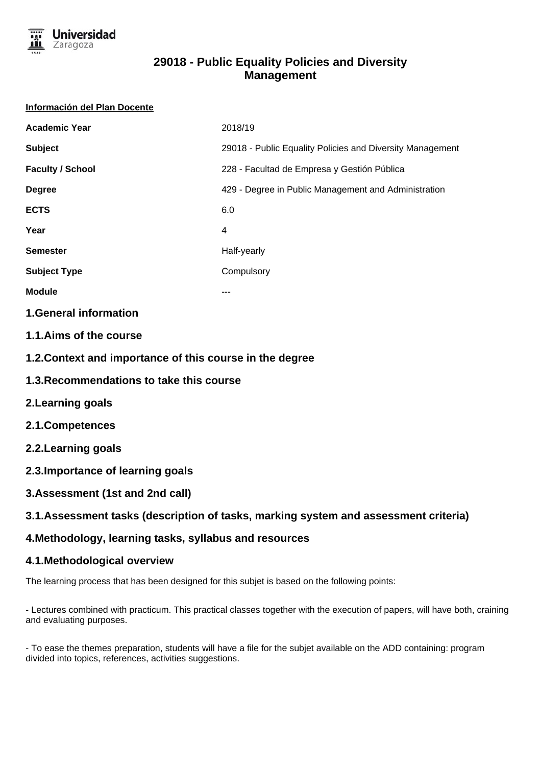

# **29018 - Public Equality Policies and Diversity Management**

#### **Información del Plan Docente**

| <b>Academic Year</b>    | 2018/19                                                   |
|-------------------------|-----------------------------------------------------------|
| <b>Subject</b>          | 29018 - Public Equality Policies and Diversity Management |
| <b>Faculty / School</b> | 228 - Facultad de Empresa y Gestión Pública               |
| <b>Degree</b>           | 429 - Degree in Public Management and Administration      |
| <b>ECTS</b>             | 6.0                                                       |
| Year                    | 4                                                         |
| <b>Semester</b>         | Half-yearly                                               |
| <b>Subject Type</b>     | Compulsory                                                |
| <b>Module</b>           | ---                                                       |

### **1.General information**

- **1.1.Aims of the course**
- **1.2.Context and importance of this course in the degree**
- **1.3.Recommendations to take this course**
- **2.Learning goals**
- **2.1.Competences**
- **2.2.Learning goals**
- **2.3.Importance of learning goals**
- **3.Assessment (1st and 2nd call)**

## **3.1.Assessment tasks (description of tasks, marking system and assessment criteria)**

## **4.Methodology, learning tasks, syllabus and resources**

## **4.1.Methodological overview**

The learning process that has been designed for this subjet is based on the following points:

- Lectures combined with practicum. This practical classes together with the execution of papers, will have both, craining and evaluating purposes.

- To ease the themes preparation, students will have a file for the subjet available on the ADD containing: program divided into topics, references, activities suggestions.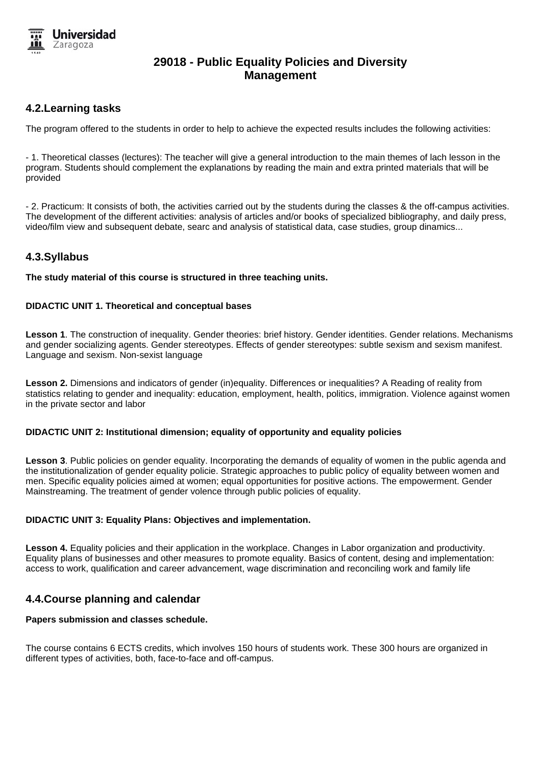

# **29018 - Public Equality Policies and Diversity Management**

### **4.2.Learning tasks**

The program offered to the students in order to help to achieve the expected results includes the following activities:

- 1. Theoretical classes (lectures): The teacher will give a general introduction to the main themes of lach lesson in the program. Students should complement the explanations by reading the main and extra printed materials that will be provided

- 2. Practicum: It consists of both, the activities carried out by the students during the classes & the off-campus activities. The development of the different activities: analysis of articles and/or books of specialized bibliography, and daily press, video/film view and subsequent debate, searc and analysis of statistical data, case studies, group dinamics...

### **4.3.Syllabus**

**The study material of this course is structured in three teaching units.**

#### **DIDACTIC UNIT 1. Theoretical and conceptual bases**

**Lesson 1**. The construction of inequality. Gender theories: brief history. Gender identities. Gender relations. Mechanisms and gender socializing agents. Gender stereotypes. Effects of gender stereotypes: subtle sexism and sexism manifest. Language and sexism. Non-sexist language

**Lesson 2.** Dimensions and indicators of gender (in)equality. Differences or inequalities? A Reading of reality from statistics relating to gender and inequality: education, employment, health, politics, immigration. Violence against women in the private sector and labor

#### **DIDACTIC UNIT 2: Institutional dimension; equality of opportunity and equality policies**

**Lesson 3**. Public policies on gender equality. Incorporating the demands of equality of women in the public agenda and the institutionalization of gender equality policie. Strategic approaches to public policy of equality between women and men. Specific equality policies aimed at women; equal opportunities for positive actions. The empowerment. Gender Mainstreaming. The treatment of gender volence through public policies of equality.

#### **DIDACTIC UNIT 3: Equality Plans: Objectives and implementation.**

**Lesson 4.** Equality policies and their application in the workplace. Changes in Labor organization and productivity. Equality plans of businesses and other measures to promote equality. Basics of content, desing and implementation: access to work, qualification and career advancement, wage discrimination and reconciling work and family life

### **4.4.Course planning and calendar**

#### **Papers submission and classes schedule.**

The course contains 6 ECTS credits, which involves 150 hours of students work. These 300 hours are organized in different types of activities, both, face-to-face and off-campus.